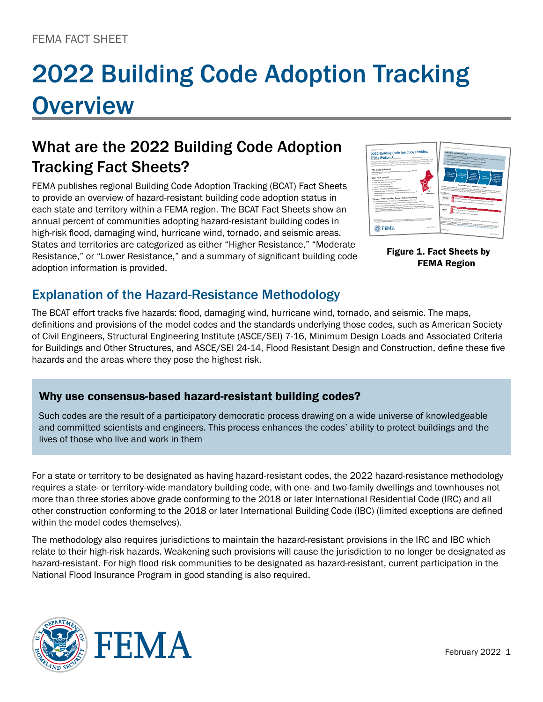# 2022 Building Code Adoption Tracking **Overview**

# What are the 2022 Building Code Adoption Tracking Fact Sheets?

FEMA publishes regional Building Code Adoption Tracking (BCAT) Fact Sheets to provide an overview of hazard-resistant building code adoption status in each state and territory within a FEMA region. The BCAT Fact Sheets show an annual percent of communities adopting hazard-resistant building codes in high-risk flood, damaging wind, hurricane wind, tornado, and seismic areas. States and territories are categorized as either "Higher Resistance," "Moderate Resistance," or "Lower Resistance," and a summary of significant building code adoption information is provided.



Figure 1. Fact Sheets by FEMA Region

### Explanation of the Hazard-Resistance Methodology

The BCAT effort tracks five hazards: flood, damaging wind, hurricane wind, tornado, and seismic. The maps, definitions and provisions of the model codes and the standards underlying those codes, such as American Society of Civil Engineers, Structural Engineering Institute (ASCE/SEI) 7-16, Minimum Design Loads and Associated Criteria for Buildings and Other Structures, and ASCE/SEI 24-14, Flood Resistant Design and Construction, define these five hazards and the areas where they pose the highest risk.

#### Why use consensus-based hazard-resistant building codes?

Such codes are the result of a participatory democratic process drawing on a wide universe of knowledgeable and committed scientists and engineers. This process enhances the codes' ability to protect buildings and the lives of those who live and work in them.

For a state or territory to be designated as having hazard-resistant codes, the 2022 hazard-resistance methodology requires a state- or territory-wide mandatory building code, with one- and two-family dwellings and townhouses not more than three stories above grade conforming to the 2018 or later International Residential Code (IRC) and all other construction conforming to the 2018 or later International Building Code (IBC) (limited exceptions are defined within the model codes themselves).

The methodology also requires jurisdictions to maintain the hazard-resistant provisions in the IRC and IBC which relate to their high-risk hazards. Weakening such provisions will cause the jurisdiction to no longer be designated as hazard-resistant. For high flood risk communities to be designated as hazard-resistant, current participation in the National Flood Insurance Program in good standing is also required.